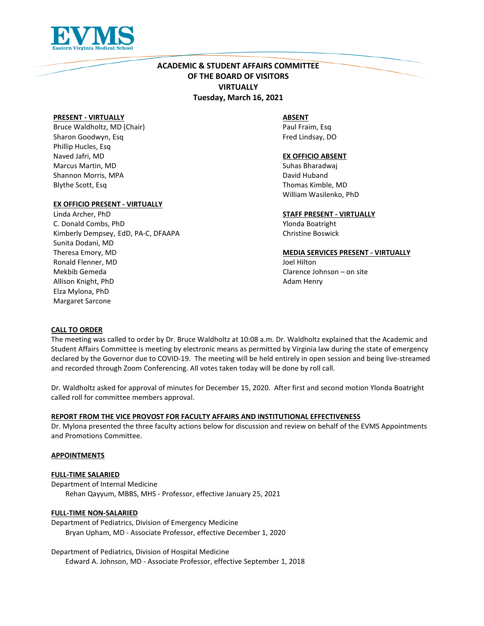

# **ACADEMIC & STUDENT AFFAIRS COMMITTEE OF THE BOARD OF VISITORS VIRTUALLY Tuesday, March 16, 2021**

## **PRESENT - VIRTUALLY**

Bruce Waldholtz, MD (Chair) Sharon Goodwyn, Esq Phillip Hucles, Esq Naved Jafri, MD Marcus Martin, MD Shannon Morris, MPA Blythe Scott, Esq

## **EX OFFICIO PRESENT - VIRTUALLY**

Linda Archer, PhD C. Donald Combs, PhD Kimberly Dempsey, EdD, PA-C, DFAAPA Sunita Dodani, MD Theresa Emory, MD Ronald Flenner, MD Mekbib Gemeda Allison Knight, PhD Elza Mylona, PhD Margaret Sarcone

## **ABSENT**

Paul Fraim, Esq Fred Lindsay, DO

## **EX OFFICIO ABSENT**

Suhas Bharadwaj David Huband Thomas Kimble, MD William Wasilenko, PhD

## **STAFF PRESENT - VIRTUALLY**

Ylonda Boatright Christine Boswick

## **MEDIA SERVICES PRESENT - VIRTUALLY**

Joel Hilton Clarence Johnson – on site Adam Henry

## **CALL TO ORDER**

The meeting was called to order by Dr. Bruce Waldholtz at 10:08 a.m. Dr. Waldholtz explained that the Academic and Student Affairs Committee is meeting by electronic means as permitted by Virginia law during the state of emergency declared by the Governor due to COVID-19. The meeting will be held entirely in open session and being live-streamed and recorded through Zoom Conferencing. All votes taken today will be done by roll call.

Dr. Waldholtz asked for approval of minutes for December 15, 2020. After first and second motion Ylonda Boatright called roll for committee members approval.

## **REPORT FROM THE VICE PROVOST FOR FACULTY AFFAIRS AND INSTITUTIONAL EFFECTIVENESS**

Dr. Mylona presented the three faculty actions below for discussion and review on behalf of the EVMS Appointments and Promotions Committee.

## **APPOINTMENTS**

## **FULL-TIME SALARIED**

Department of Internal Medicine Rehan Qayyum, MBBS, MHS - Professor, effective January 25, 2021

## **FULL-TIME NON-SALARIED**

Department of Pediatrics, Division of Emergency Medicine Bryan Upham, MD - Associate Professor, effective December 1, 2020

Department of Pediatrics, Division of Hospital Medicine Edward A. Johnson, MD - Associate Professor, effective September 1, 2018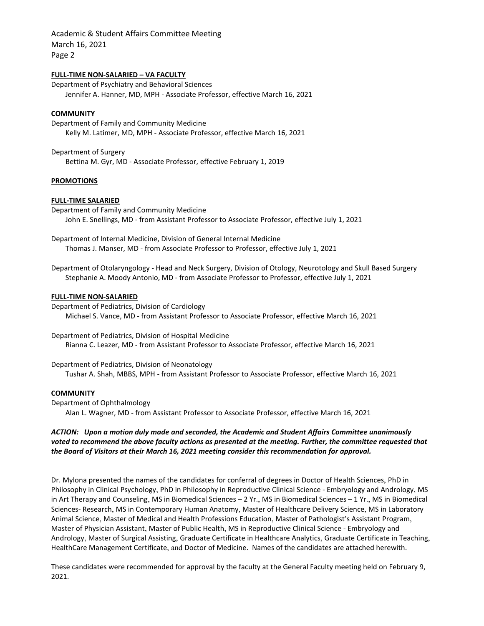Academic & Student Affairs Committee Meeting March 16, 2021 Page 2

## **FULL-TIME NON-SALARIED – VA FACULTY**

Department of Psychiatry and Behavioral Sciences Jennifer A. Hanner, MD, MPH - Associate Professor, effective March 16, 2021

#### **COMMUNITY**

Department of Family and Community Medicine Kelly M. Latimer, MD, MPH - Associate Professor, effective March 16, 2021

Department of Surgery Bettina M. Gyr, MD - Associate Professor, effective February 1, 2019

### **PROMOTIONS**

#### **FULL-TIME SALARIED**

Department of Family and Community Medicine John E. Snellings, MD - from Assistant Professor to Associate Professor, effective July 1, 2021

Department of Internal Medicine, Division of General Internal Medicine Thomas J. Manser, MD - from Associate Professor to Professor, effective July 1, 2021

Department of Otolaryngology - Head and Neck Surgery, Division of Otology, Neurotology and Skull Based Surgery Stephanie A. Moody Antonio, MD - from Associate Professor to Professor, effective July 1, 2021

#### **FULL-TIME NON-SALARIED**

Department of Pediatrics, Division of Cardiology Michael S. Vance, MD - from Assistant Professor to Associate Professor, effective March 16, 2021

Department of Pediatrics, Division of Hospital Medicine Rianna C. Leazer, MD - from Assistant Professor to Associate Professor, effective March 16, 2021

Department of Pediatrics, Division of Neonatology Tushar A. Shah, MBBS, MPH - from Assistant Professor to Associate Professor, effective March 16, 2021

## **COMMUNITY**

Department of Ophthalmology Alan L. Wagner, MD - from Assistant Professor to Associate Professor, effective March 16, 2021

*ACTION: Upon a motion duly made and seconded, the Academic and Student Affairs Committee unanimously voted to recommend the above faculty actions as presented at the meeting. Further, the committee requested that the Board of Visitors at their March 16, 2021 meeting consider this recommendation for approval.*

Dr. Mylona presented the names of the candidates for conferral of degrees in Doctor of Health Sciences, PhD in Philosophy in Clinical Psychology, PhD in Philosophy in Reproductive Clinical Science - Embryology and Andrology, MS in Art Therapy and Counseling, MS in Biomedical Sciences – 2 Yr., MS in Biomedical Sciences – 1 Yr., MS in Biomedical Sciences- Research, MS in Contemporary Human Anatomy, Master of Healthcare Delivery Science, MS in Laboratory Animal Science, Master of Medical and Health Professions Education, Master of Pathologist's Assistant Program, Master of Physician Assistant, Master of Public Health, MS in Reproductive Clinical Science - Embryology and Andrology, Master of Surgical Assisting, Graduate Certificate in Healthcare Analytics, Graduate Certificate in Teaching, HealthCare Management Certificate, and Doctor of Medicine. Names of the candidates are attached herewith.

These candidates were recommended for approval by the faculty at the General Faculty meeting held on February 9, 2021.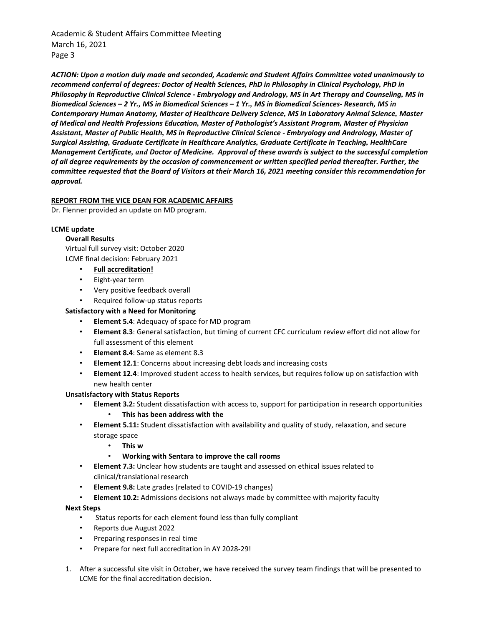Academic & Student Affairs Committee Meeting March 16, 2021 Page 3

*ACTION: Upon a motion duly made and seconded, Academic and Student Affairs Committee voted unanimously to recommend conferral of degrees: Doctor of Health Sciences, PhD in Philosophy in Clinical Psychology, PhD in Philosophy in Reproductive Clinical Science - Embryology and Andrology, MS in Art Therapy and Counseling, MS in Biomedical Sciences – 2 Yr., MS in Biomedical Sciences – 1 Yr., MS in Biomedical Sciences- Research, MS in Contemporary Human Anatomy, Master of Healthcare Delivery Science, MS in Laboratory Animal Science, Master of Medical and Health Professions Education, Master of Pathologist's Assistant Program, Master of Physician Assistant, Master of Public Health, MS in Reproductive Clinical Science - Embryology and Andrology, Master of Surgical Assisting, Graduate Certificate in Healthcare Analytics, Graduate Certificate in Teaching, HealthCare Management Certificate, and Doctor of Medicine. Approval of these awards is subject to the successful completion of all degree requirements by the occasion of commencement or written specified period thereafter. Further, the committee requested that the Board of Visitors at their March 16, 2021 meeting consider this recommendation for approval.*

## **REPORT FROM THE VICE DEAN FOR ACADEMIC AFFAIRS**

Dr. Flenner provided an update on MD program.

## **LCME update**

## **Overall Results**

Virtual full survey visit: October 2020 LCME final decision: February 2021

- **Full accreditation!**
- Eight-year term
- Very positive feedback overall
- Required follow-up status reports

## **Satisfactory with a Need for Monitoring**

- **Element 5.4**: Adequacy of space for MD program
- **Element 8.3**: General satisfaction, but timing of current CFC curriculum review effort did not allow for full assessment of this element
- **Element 8.4**: Same as element 8.3
- **Element 12.1**: Concerns about increasing debt loads and increasing costs
- **Element 12.4**: Improved student access to health services, but requires follow up on satisfaction with new health center

## **Unsatisfactory with Status Reports**

- **Element 3.2:** Student dissatisfaction with access to, support for participation in research opportunities • **This has been address with the**
- **Element 5.11:** Student dissatisfaction with availability and quality of study, relaxation, and secure storage space
	- **This w**
	- **Working with Sentara to improve the call rooms**
- **Element 7.3:** Unclear how students are taught and assessed on ethical issues related to clinical/translational research
- **Element 9.8:** Late grades (related to COVID-19 changes)
- **Element 10.2:** Admissions decisions not always made by committee with majority faculty

## **Next Steps**

- Status reports for each element found less than fully compliant
- Reports due August 2022
- Preparing responses in real time
- Prepare for next full accreditation in AY 2028-29!
- 1. After a successful site visit in October, we have received the survey team findings that will be presented to LCME for the final accreditation decision.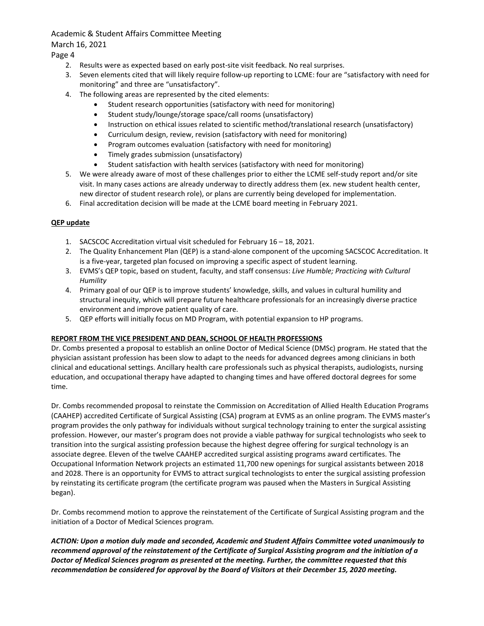Academic & Student Affairs Committee Meeting March 16, 2021

Page 4

- 2. Results were as expected based on early post-site visit feedback. No real surprises.
- 3. Seven elements cited that will likely require follow-up reporting to LCME: four are "satisfactory with need for monitoring" and three are "unsatisfactory".
- 4. The following areas are represented by the cited elements:
	- Student research opportunities (satisfactory with need for monitoring)
	- Student study/lounge/storage space/call rooms (unsatisfactory)
	- Instruction on ethical issues related to scientific method/translational research (unsatisfactory)
	- Curriculum design, review, revision (satisfactory with need for monitoring)
	- Program outcomes evaluation (satisfactory with need for monitoring)
	- Timely grades submission (unsatisfactory)
	- Student satisfaction with health services (satisfactory with need for monitoring)
- 5. We were already aware of most of these challenges prior to either the LCME self-study report and/or site visit. In many cases actions are already underway to directly address them (ex. new student health center, new director of student research role), or plans are currently being developed for implementation.
- 6. Final accreditation decision will be made at the LCME board meeting in February 2021.

## **QEP update**

- 1. SACSCOC Accreditation virtual visit scheduled for February 16 18, 2021.
- 2. The Quality Enhancement Plan (QEP) is a stand-alone component of the upcoming SACSCOC Accreditation. It is a five-year, targeted plan focused on improving a specific aspect of student learning.
- 3. EVMS's QEP topic, based on student, faculty, and staff consensus: *Live Humble; Practicing with Cultural Humility*
- 4. Primary goal of our QEP is to improve students' knowledge, skills, and values in cultural humility and structural inequity, which will prepare future healthcare professionals for an increasingly diverse practice environment and improve patient quality of care.
- 5. QEP efforts will initially focus on MD Program, with potential expansion to HP programs.

## **REPORT FROM THE VICE PRESIDENT AND DEAN, SCHOOL OF HEALTH PROFESSIONS**

Dr. Combs presented a proposal to establish an online Doctor of Medical Science (DMSc) program. He stated that the physician assistant profession has been slow to adapt to the needs for advanced degrees among clinicians in both clinical and educational settings. Ancillary health care professionals such as physical therapists, audiologists, nursing education, and occupational therapy have adapted to changing times and have offered doctoral degrees for some time.

Dr. Combs recommended proposal to reinstate the Commission on Accreditation of Allied Health Education Programs (CAAHEP) accredited Certificate of Surgical Assisting (CSA) program at EVMS as an online program. The EVMS master's program provides the only pathway for individuals without surgical technology training to enter the surgical assisting profession. However, our master's program does not provide a viable pathway for surgical technologists who seek to transition into the surgical assisting profession because the highest degree offering for surgical technology is an associate degree. Eleven of the twelve CAAHEP accredited surgical assisting programs award certificates. The Occupational Information Network projects an estimated 11,700 new openings for surgical assistants between 2018 and 2028. There is an opportunity for EVMS to attract surgical technologists to enter the surgical assisting profession by reinstating its certificate program (the certificate program was paused when the Masters in Surgical Assisting began).

Dr. Combs recommend motion to approve the reinstatement of the Certificate of Surgical Assisting program and the initiation of a Doctor of Medical Sciences program.

*ACTION: Upon a motion duly made and seconded, Academic and Student Affairs Committee voted unanimously to recommend approval of the reinstatement of the Certificate of Surgical Assisting program and the initiation of a Doctor of Medical Sciences program as presented at the meeting. Further, the committee requested that this recommendation be considered for approval by the Board of Visitors at their December 15, 2020 meeting.*